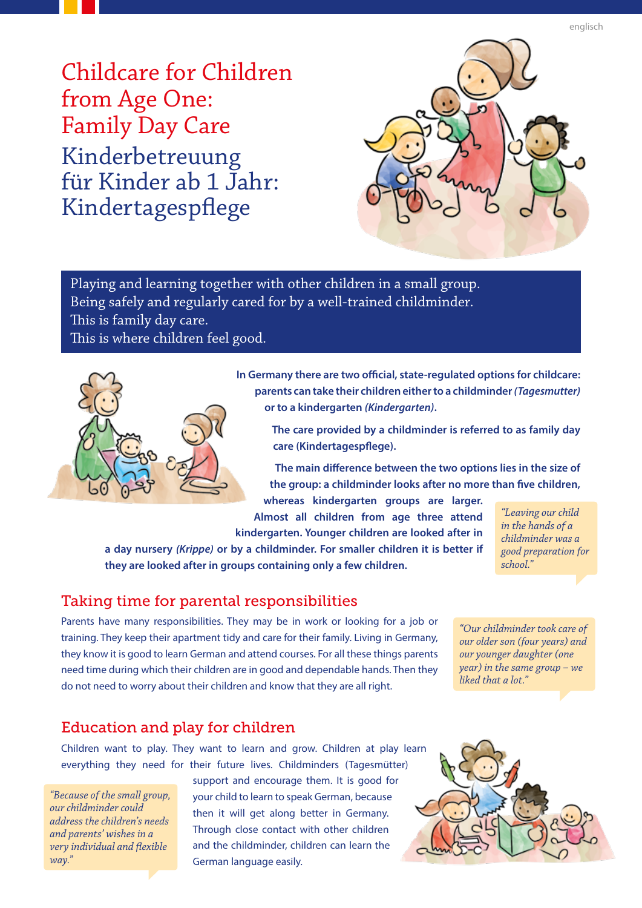Kinderbetreuung für Kinder ab  $1$  Jahr: Kindertagespflege Childcare for Children from Age One: **Family Day Care** 



Playing and learning together with other children in a small group. Being safely and regularly cared for by a well-trained childminder. This is family day care.

This is where children feel good.



In Germany there are two official, state-regulated options for childcare: **parents can take their children either to a childminder (Tagesmutter)** *<u>or to a kindergarten (Kindergarten).*</u>

The care provided by a childminder is referred to as family day **care** (Kindertagespflege).

The main difference between the two options lies in the size of the group: a childminder looks after no more than five children,

whereas kindergarten groups are larger. Almost all children from age three attend kindergarten. Younger children are looked after in

*a* **day nursery (Krippe) or by a childminder. For smaller children it is better if** they are looked after in groups containing only a few children.

*<i><u>Eeaving our child</u> in the hands of a childminder* was a  *for preparation good ".school*

#### Taking time for parental responsibilities

Parents have many responsibilities. They may be in work or looking for a job or training. They keep their apartment tidy and care for their family. Living in Germany, they know it is good to learn German and attend courses. For all these things parents need time during which their children are in good and dependable hands. Then they do not need to worry about their children and know that they are all right.

"Our childminder took care of *our older son (four years) and our younger daughter (one year*) in the same group - we liked that a lot."

#### Education and play for children

Children want to play. They want to learn and grow. Children at play learn everything they need for their future lives. Childminders (Tagesmütter)

*"Because of the small group, could childminder our address the children's needs and parents' wishes in a very individual and flexible ".way*

support and encourage them. It is good for your child to learn to speak German, because then it will get along better in Germany. Through close contact with other children and the childminder, children can learn the German language easily.